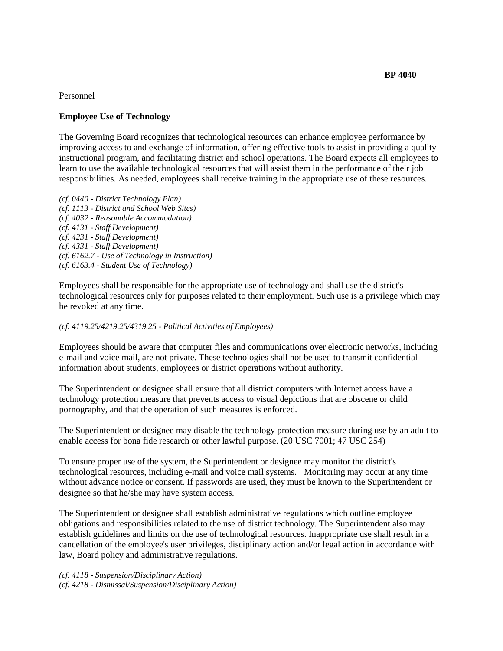**BP 4040**

Personnel

## **Employee Use of Technology**

The Governing Board recognizes that technological resources can enhance employee performance by improving access to and exchange of information, offering effective tools to assist in providing a quality instructional program, and facilitating district and school operations. The Board expects all employees to learn to use the available technological resources that will assist them in the performance of their job responsibilities. As needed, employees shall receive training in the appropriate use of these resources.

*(cf. 0440 - District Technology Plan) (cf. 1113 - District and School Web Sites) (cf. 4032 - Reasonable Accommodation) (cf. 4131 - Staff Development) (cf. 4231 - Staff Development) (cf. 4331 - Staff Development) (cf. 6162.7 - Use of Technology in Instruction) (cf. 6163.4 - Student Use of Technology)* 

Employees shall be responsible for the appropriate use of technology and shall use the district's technological resources only for purposes related to their employment. Such use is a privilege which may be revoked at any time.

## *(cf. 4119.25/4219.25/4319.25 - Political Activities of Employees)*

Employees should be aware that computer files and communications over electronic networks, including e-mail and voice mail, are not private. These technologies shall not be used to transmit confidential information about students, employees or district operations without authority.

The Superintendent or designee shall ensure that all district computers with Internet access have a technology protection measure that prevents access to visual depictions that are obscene or child pornography, and that the operation of such measures is enforced.

The Superintendent or designee may disable the technology protection measure during use by an adult to enable access for bona fide research or other lawful purpose. (20 USC 7001; 47 USC 254)

To ensure proper use of the system, the Superintendent or designee may monitor the district's technological resources, including e-mail and voice mail systems. Monitoring may occur at any time without advance notice or consent. If passwords are used, they must be known to the Superintendent or designee so that he/she may have system access.

The Superintendent or designee shall establish administrative regulations which outline employee obligations and responsibilities related to the use of district technology. The Superintendent also may establish guidelines and limits on the use of technological resources. Inappropriate use shall result in a cancellation of the employee's user privileges, disciplinary action and/or legal action in accordance with law, Board policy and administrative regulations.

*(cf. 4118 - Suspension/Disciplinary Action) (cf. 4218 - Dismissal/Suspension/Disciplinary Action)*